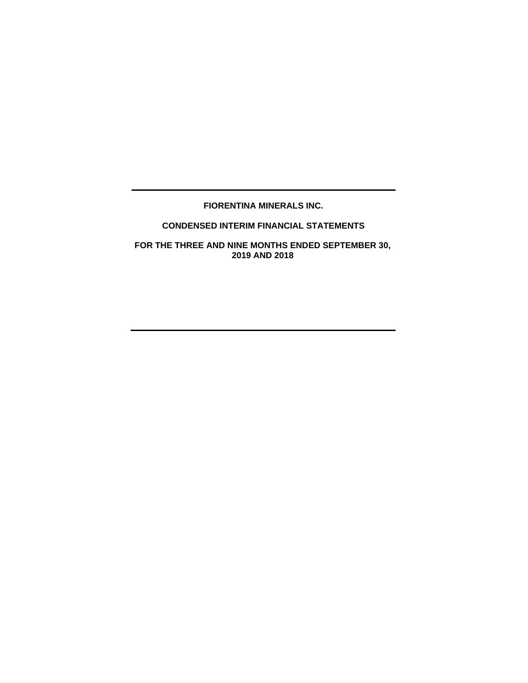# **FIORENTINA MINERALS INC.**

# **CONDENSED INTERIM FINANCIAL STATEMENTS**

**FOR THE THREE AND NINE MONTHS ENDED SEPTEMBER 30, 2019 AND 2018**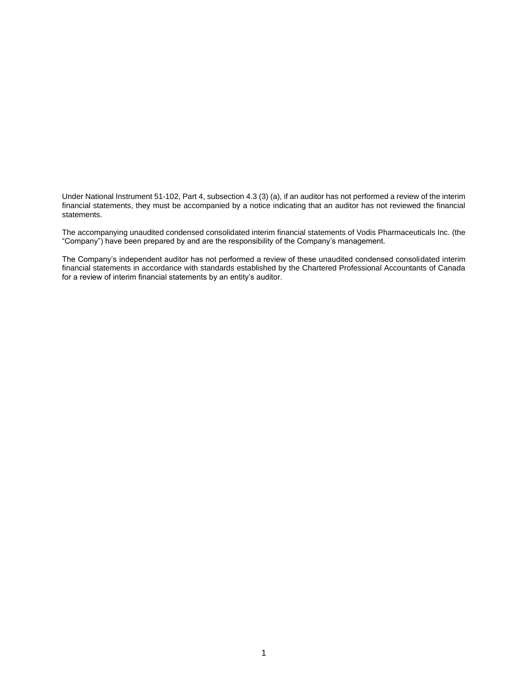Under National Instrument 51-102, Part 4, subsection 4.3 (3) (a), if an auditor has not performed a review of the interim financial statements, they must be accompanied by a notice indicating that an auditor has not reviewed the financial statements.

The accompanying unaudited condensed consolidated interim financial statements of Vodis Pharmaceuticals Inc. (the "Company") have been prepared by and are the responsibility of the Company's management.

The Company's independent auditor has not performed a review of these unaudited condensed consolidated interim financial statements in accordance with standards established by the Chartered Professional Accountants of Canada for a review of interim financial statements by an entity's auditor.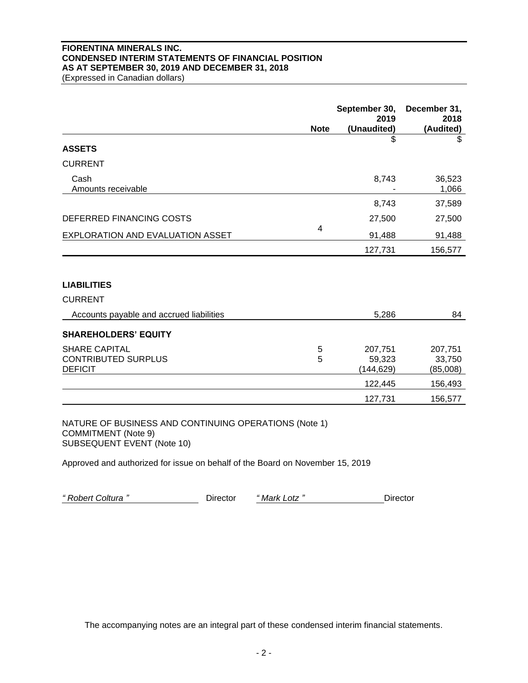# **FIORENTINA MINERALS INC. CONDENSED INTERIM STATEMENTS OF FINANCIAL POSITION AS AT SEPTEMBER 30, 2019 AND DECEMBER 31, 2018**

(Expressed in Canadian dollars)

|                                          | <b>Note</b> | September 30,<br>2019<br>(Unaudited) | December 31,<br>2018<br>(Audited) |
|------------------------------------------|-------------|--------------------------------------|-----------------------------------|
| <b>ASSETS</b>                            |             | \$                                   | \$                                |
|                                          |             |                                      |                                   |
| <b>CURRENT</b>                           |             |                                      |                                   |
| Cash<br>Amounts receivable               |             | 8,743                                | 36,523<br>1,066                   |
|                                          |             | 8,743                                | 37,589                            |
| DEFERRED FINANCING COSTS                 |             | 27,500                               | 27,500                            |
| EXPLORATION AND EVALUATION ASSET         | 4           | 91,488                               | 91,488                            |
|                                          |             | 127,731                              | 156,577                           |
|                                          |             |                                      |                                   |
| <b>LIABILITIES</b>                       |             |                                      |                                   |
| <b>CURRENT</b>                           |             |                                      |                                   |
| Accounts payable and accrued liabilities |             | 5,286                                | 84                                |
| <b>SHAREHOLDERS' EQUITY</b>              |             |                                      |                                   |
| <b>SHARE CAPITAL</b>                     | 5           | 207,751                              | 207,751                           |
| <b>CONTRIBUTED SURPLUS</b>               | 5           | 59,323                               | 33,750                            |
| <b>DEFICIT</b>                           |             | (144, 629)                           | (85,008)                          |
|                                          |             | 122,445                              | 156,493                           |
|                                          |             | 127,731                              | 156,577                           |

NATURE OF BUSINESS AND CONTINUING OPERATIONS (Note 1) COMMITMENT (Note 9) SUBSEQUENT EVENT (Note 10)

Approved and authorized for issue on behalf of the Board on November 15, 2019

*" Robert Coltura "* Director *" Mark Lotz "* Director

The accompanying notes are an integral part of these condensed interim financial statements.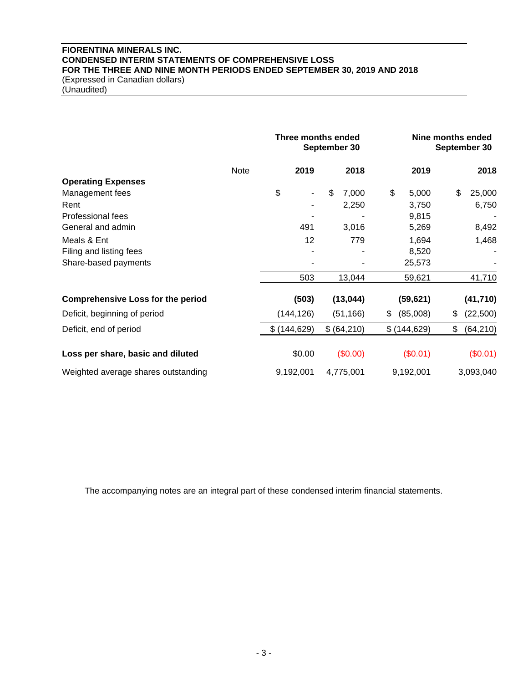# **FIORENTINA MINERALS INC. CONDENSED INTERIM STATEMENTS OF COMPREHENSIVE LOSS FOR THE THREE AND NINE MONTH PERIODS ENDED SEPTEMBER 30, 2019 AND 2018** (Expressed in Canadian dollars)

(Unaudited)

|                                          |             | Three months ended<br>September 30 |             |                | Nine months ended<br>September 30 |  |  |
|------------------------------------------|-------------|------------------------------------|-------------|----------------|-----------------------------------|--|--|
|                                          | <b>Note</b> | 2019                               | 2018        | 2019           | 2018                              |  |  |
| <b>Operating Expenses</b>                |             |                                    |             |                |                                   |  |  |
| Management fees                          |             | \$<br>$\blacksquare$               | \$<br>7,000 | \$<br>5,000    | \$<br>25,000                      |  |  |
| Rent                                     |             |                                    | 2,250       | 3,750          | 6,750                             |  |  |
| Professional fees                        |             |                                    |             | 9,815          |                                   |  |  |
| General and admin                        |             | 491                                | 3,016       | 5,269          | 8,492                             |  |  |
| Meals & Ent                              |             | 12                                 | 779         | 1,694          | 1,468                             |  |  |
| Filing and listing fees                  |             |                                    |             | 8,520          |                                   |  |  |
| Share-based payments                     |             |                                    |             | 25,573         |                                   |  |  |
|                                          |             | 503                                | 13,044      | 59,621         | 41,710                            |  |  |
| <b>Comprehensive Loss for the period</b> |             | (503)                              | (13, 044)   | (59, 621)      | (41, 710)                         |  |  |
| Deficit, beginning of period             |             | (144, 126)                         | (51, 166)   | (85,008)<br>\$ | (22,500)<br>S                     |  |  |
| Deficit, end of period                   |             | \$(144, 629)                       | \$ (64,210) | \$(144, 629)   | \$<br>(64, 210)                   |  |  |
| Loss per share, basic and diluted        |             | \$0.00                             | (\$0.00)    | (\$0.01)       | (\$0.01)                          |  |  |
| Weighted average shares outstanding      |             | 9,192,001                          | 4,775,001   | 9,192,001      | 3,093,040                         |  |  |

The accompanying notes are an integral part of these condensed interim financial statements.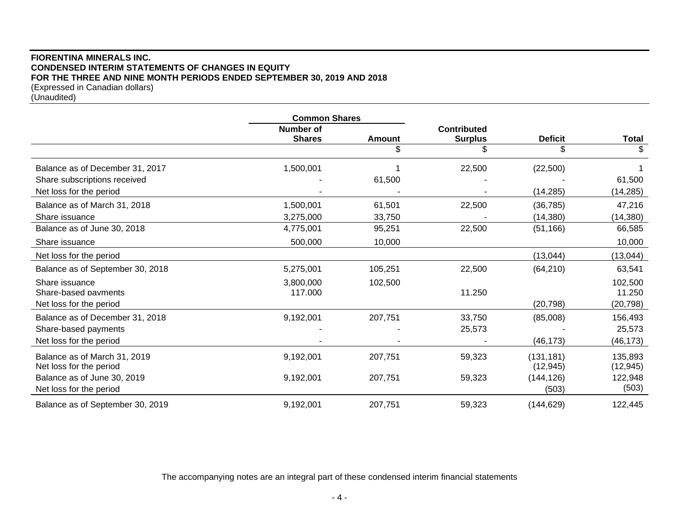# **FIORENTINA MINERALS INC. CONDENSED INTERIM STATEMENTS OF CHANGES IN EQUITY FOR THE THREE AND NINE MONTH PERIODS ENDED SEPTEMBER 30, 2019 AND 2018** (Expressed in Canadian dollars)

| (Unaudited) |  |
|-------------|--|
|-------------|--|

|                                  | <b>Common Shares</b>              |               |                    |                |              |
|----------------------------------|-----------------------------------|---------------|--------------------|----------------|--------------|
|                                  | <b>Number of</b><br><b>Shares</b> | <b>Amount</b> | <b>Contributed</b> | <b>Deficit</b> |              |
|                                  |                                   |               | <b>Surplus</b>     |                | <b>Total</b> |
|                                  |                                   | \$            |                    | \$             | \$           |
| Balance as of December 31, 2017  | 1,500,001                         |               | 22,500             | (22,500)       |              |
| Share subscriptions received     |                                   | 61,500        |                    |                | 61,500       |
| Net loss for the period          |                                   |               |                    | (14, 285)      | (14, 285)    |
| Balance as of March 31, 2018     | 1,500,001                         | 61,501        | 22,500             | (36, 785)      | 47,216       |
| Share issuance                   | 3,275,000                         | 33,750        |                    | (14, 380)      | (14, 380)    |
| Balance as of June 30, 2018      | 4,775,001                         | 95,251        | 22,500             | (51, 166)      | 66,585       |
| Share issuance                   | 500,000                           | 10,000        |                    |                | 10,000       |
| Net loss for the period          |                                   |               |                    | (13, 044)      | (13, 044)    |
| Balance as of September 30, 2018 | 5,275,001                         | 105,251       | 22,500             | (64, 210)      | 63,541       |
| Share issuance                   | 3,800,000                         | 102,500       |                    |                | 102,500      |
| Share-based payments             | 117.000                           |               | 11.250             |                | 11.250       |
| Net loss for the period          |                                   |               |                    | (20, 798)      | (20, 798)    |
| Balance as of December 31, 2018  | 9,192,001                         | 207,751       | 33,750             | (85,008)       | 156,493      |
| Share-based payments             |                                   |               | 25,573             |                | 25,573       |
| Net loss for the period          |                                   |               |                    | (46, 173)      | (46, 173)    |
| Balance as of March 31, 2019     | 9,192,001                         | 207,751       | 59,323             | (131, 181)     | 135,893      |
| Net loss for the period          |                                   |               |                    | (12, 945)      | (12, 945)    |
| Balance as of June 30, 2019      | 9,192,001                         | 207,751       | 59,323             | (144, 126)     | 122,948      |
| Net loss for the period          |                                   |               |                    | (503)          | (503)        |
| Balance as of September 30, 2019 | 9,192,001                         | 207,751       | 59,323             | (144, 629)     | 122,445      |

The accompanying notes are an integral part of these condensed interim financial statements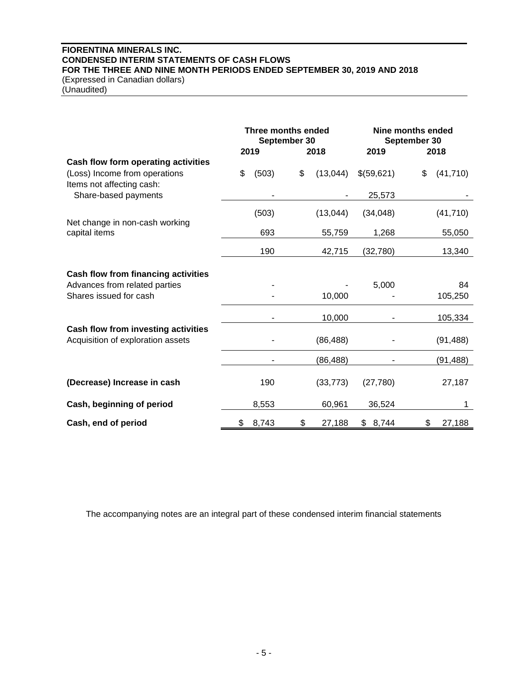# **FIORENTINA MINERALS INC. CONDENSED INTERIM STATEMENTS OF CASH FLOWS FOR THE THREE AND NINE MONTH PERIODS ENDED SEPTEMBER 30, 2019 AND 2018** (Expressed in Canadian dollars)

(Unaudited)

|                                                            | Three months ended<br>2019 | September 30 | 2018      | 2019       | <b>Nine months ended</b><br>September 30<br>2018 |    |
|------------------------------------------------------------|----------------------------|--------------|-----------|------------|--------------------------------------------------|----|
| Cash flow form operating activities                        |                            |              |           |            |                                                  |    |
| (Loss) Income from operations<br>Items not affecting cash: | \$<br>(503)                | \$           | (13,044)  | \$(59,621) | \$<br>(41, 710)                                  |    |
| Share-based payments                                       |                            |              |           | 25,573     |                                                  |    |
|                                                            | (503)                      |              | (13,044)  | (34,048)   | (41, 710)                                        |    |
| Net change in non-cash working<br>capital items            | 693                        |              | 55,759    | 1,268      | 55,050                                           |    |
|                                                            | 190                        |              | 42,715    | (32, 780)  | 13,340                                           |    |
| Cash flow from financing activities                        |                            |              |           |            |                                                  |    |
| Advances from related parties                              |                            |              |           | 5,000      |                                                  | 84 |
| Shares issued for cash                                     |                            |              | 10,000    |            | 105,250                                          |    |
|                                                            |                            |              | 10,000    |            | 105,334                                          |    |
| Cash flow from investing activities                        |                            |              |           |            |                                                  |    |
| Acquisition of exploration assets                          |                            |              | (86, 488) |            | (91, 488)                                        |    |
|                                                            |                            |              | (86, 488) |            | (91, 488)                                        |    |
| (Decrease) Increase in cash                                | 190                        |              | (33, 773) | (27, 780)  | 27,187                                           |    |
| Cash, beginning of period                                  | 8,553                      |              | 60,961    | 36,524     |                                                  | 1  |
| Cash, end of period                                        | \$<br>8,743                | \$           | 27,188    | \$8,744    | \$<br>27,188                                     |    |

The accompanying notes are an integral part of these condensed interim financial statements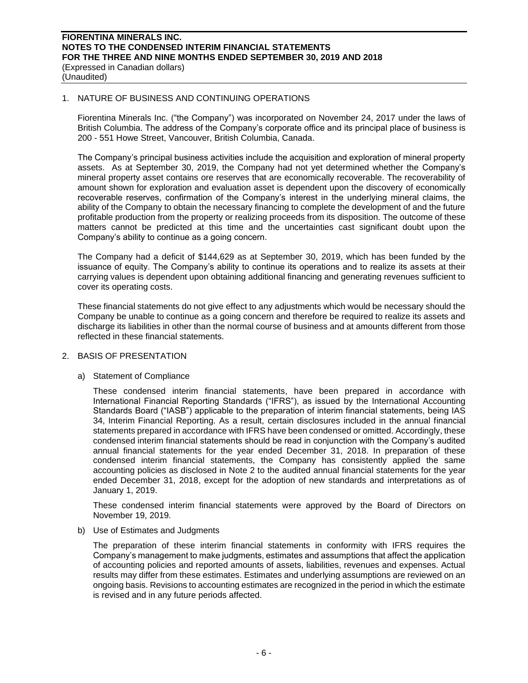### 1. NATURE OF BUSINESS AND CONTINUING OPERATIONS

Fiorentina Minerals Inc. ("the Company") was incorporated on November 24, 2017 under the laws of British Columbia. The address of the Company's corporate office and its principal place of business is 200 - 551 Howe Street, Vancouver, British Columbia, Canada.

The Company's principal business activities include the acquisition and exploration of mineral property assets. As at September 30, 2019, the Company had not yet determined whether the Company's mineral property asset contains ore reserves that are economically recoverable. The recoverability of amount shown for exploration and evaluation asset is dependent upon the discovery of economically recoverable reserves, confirmation of the Company's interest in the underlying mineral claims, the ability of the Company to obtain the necessary financing to complete the development of and the future profitable production from the property or realizing proceeds from its disposition. The outcome of these matters cannot be predicted at this time and the uncertainties cast significant doubt upon the Company's ability to continue as a going concern.

The Company had a deficit of \$144,629 as at September 30, 2019, which has been funded by the issuance of equity. The Company's ability to continue its operations and to realize its assets at their carrying values is dependent upon obtaining additional financing and generating revenues sufficient to cover its operating costs.

These financial statements do not give effect to any adjustments which would be necessary should the Company be unable to continue as a going concern and therefore be required to realize its assets and discharge its liabilities in other than the normal course of business and at amounts different from those reflected in these financial statements.

# 2. BASIS OF PRESENTATION

# a) Statement of Compliance

These condensed interim financial statements, have been prepared in accordance with International Financial Reporting Standards ("IFRS"), as issued by the International Accounting Standards Board ("IASB") applicable to the preparation of interim financial statements, being IAS 34, Interim Financial Reporting. As a result, certain disclosures included in the annual financial statements prepared in accordance with IFRS have been condensed or omitted. Accordingly, these condensed interim financial statements should be read in conjunction with the Company's audited annual financial statements for the year ended December 31, 2018. In preparation of these condensed interim financial statements, the Company has consistently applied the same accounting policies as disclosed in Note 2 to the audited annual financial statements for the year ended December 31, 2018, except for the adoption of new standards and interpretations as of January 1, 2019.

These condensed interim financial statements were approved by the Board of Directors on November 19, 2019.

b) Use of Estimates and Judgments

The preparation of these interim financial statements in conformity with IFRS requires the Company's management to make judgments, estimates and assumptions that affect the application of accounting policies and reported amounts of assets, liabilities, revenues and expenses. Actual results may differ from these estimates. Estimates and underlying assumptions are reviewed on an ongoing basis. Revisions to accounting estimates are recognized in the period in which the estimate is revised and in any future periods affected.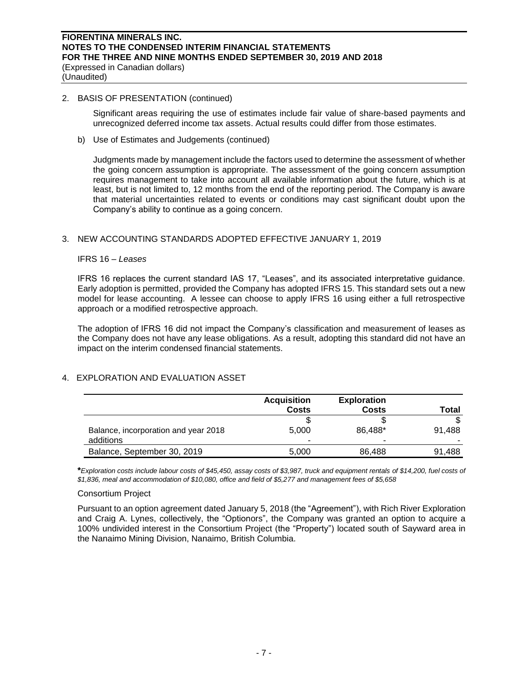### 2. BASIS OF PRESENTATION (continued)

Significant areas requiring the use of estimates include fair value of share-based payments and unrecognized deferred income tax assets. Actual results could differ from those estimates.

b) Use of Estimates and Judgements (continued)

Judgments made by management include the factors used to determine the assessment of whether the going concern assumption is appropriate. The assessment of the going concern assumption requires management to take into account all available information about the future, which is at least, but is not limited to, 12 months from the end of the reporting period. The Company is aware that material uncertainties related to events or conditions may cast significant doubt upon the Company's ability to continue as a going concern.

# 3. NEW ACCOUNTING STANDARDS ADOPTED EFFECTIVE JANUARY 1, 2019

#### IFRS 16 – *Leases*

IFRS 16 replaces the current standard IAS 17, "Leases", and its associated interpretative guidance. Early adoption is permitted, provided the Company has adopted IFRS 15. This standard sets out a new model for lease accounting. A lessee can choose to apply IFRS 16 using either a full retrospective approach or a modified retrospective approach.

The adoption of IFRS 16 did not impact the Company's classification and measurement of leases as the Company does not have any lease obligations. As a result, adopting this standard did not have an impact on the interim condensed financial statements.

# 4. EXPLORATION AND EVALUATION ASSET

|                                      | <b>Acquisition</b><br>Costs | <b>Exploration</b><br>Costs | Total  |
|--------------------------------------|-----------------------------|-----------------------------|--------|
| Balance, incorporation and year 2018 | S<br>5.000                  | 86.488*                     | 91.488 |
| additions                            |                             | $\overline{\phantom{a}}$    |        |
| Balance, September 30, 2019          | 5.000                       | 86.488                      | 91,488 |

**\****Exploration costs include labour costs of \$45,450, assay costs of \$3,987, truck and equipment rentals of \$14,200, fuel costs of \$1,836, meal and accommodation of \$10,080, office and field of \$5,277 and management fees of \$5,658*

# Consortium Project

Pursuant to an option agreement dated January 5, 2018 (the "Agreement"), with Rich River Exploration and Craig A. Lynes, collectively, the "Optionors", the Company was granted an option to acquire a 100% undivided interest in the Consortium Project (the "Property") located south of Sayward area in the Nanaimo Mining Division, Nanaimo, British Columbia.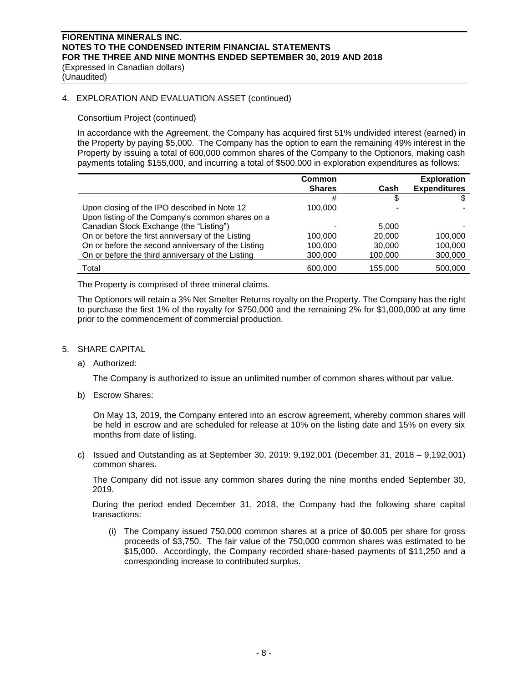# **FIORENTINA MINERALS INC. NOTES TO THE CONDENSED INTERIM FINANCIAL STATEMENTS FOR THE THREE AND NINE MONTHS ENDED SEPTEMBER 30, 2019 AND 2018** (Expressed in Canadian dollars)

(Unaudited)

### 4. EXPLORATION AND EVALUATION ASSET (continued)

### Consortium Project (continued)

In accordance with the Agreement, the Company has acquired first 51% undivided interest (earned) in the Property by paying \$5,000. The Company has the option to earn the remaining 49% interest in the Property by issuing a total of 600,000 common shares of the Company to the Optionors, making cash payments totaling \$155,000, and incurring a total of \$500,000 in exploration expenditures as follows:

|                                                    | <b>Common</b><br><b>Shares</b> | Cash    | <b>Exploration</b><br><b>Expenditures</b> |
|----------------------------------------------------|--------------------------------|---------|-------------------------------------------|
|                                                    | #                              | S       |                                           |
| Upon closing of the IPO described in Note 12       | 100,000                        |         |                                           |
| Upon listing of the Company's common shares on a   |                                |         |                                           |
| Canadian Stock Exchange (the "Listing")            |                                | 5.000   |                                           |
| On or before the first anniversary of the Listing  | 100,000                        | 20,000  | 100,000                                   |
| On or before the second anniversary of the Listing | 100,000                        | 30,000  | 100,000                                   |
| On or before the third anniversary of the Listing  | 300,000                        | 100,000 | 300,000                                   |
| Total                                              | 600,000                        | 155,000 | 500,000                                   |

The Property is comprised of three mineral claims.

The Optionors will retain a 3% Net Smelter Returns royalty on the Property. The Company has the right to purchase the first 1% of the royalty for \$750,000 and the remaining 2% for \$1,000,000 at any time prior to the commencement of commercial production.

#### 5. SHARE CAPITAL

a) Authorized:

The Company is authorized to issue an unlimited number of common shares without par value.

b) Escrow Shares:

On May 13, 2019, the Company entered into an escrow agreement, whereby common shares will be held in escrow and are scheduled for release at 10% on the listing date and 15% on every six months from date of listing.

c) Issued and Outstanding as at September 30, 2019: 9,192,001 (December 31, 2018 – 9,192,001) common shares.

The Company did not issue any common shares during the nine months ended September 30, 2019.

During the period ended December 31, 2018, the Company had the following share capital transactions:

(i) The Company issued 750,000 common shares at a price of \$0.005 per share for gross proceeds of \$3,750. The fair value of the 750,000 common shares was estimated to be \$15,000. Accordingly, the Company recorded share-based payments of \$11,250 and a corresponding increase to contributed surplus.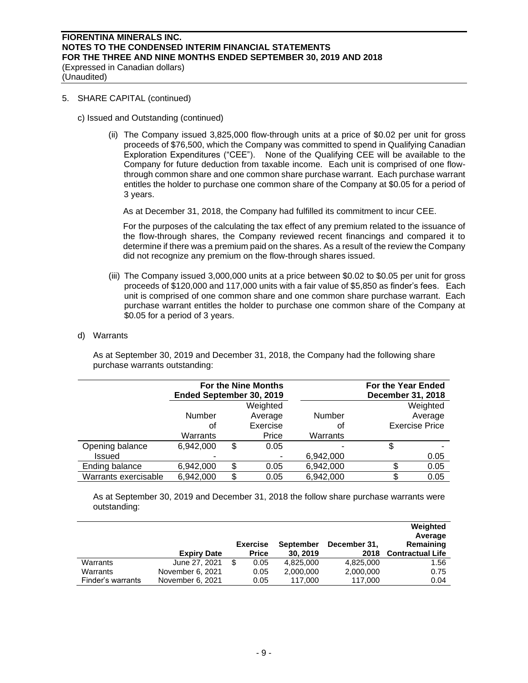(Unaudited)

# 5. SHARE CAPITAL (continued)

- c) Issued and Outstanding (continued)
	- (ii) The Company issued 3,825,000 flow-through units at a price of \$0.02 per unit for gross proceeds of \$76,500, which the Company was committed to spend in Qualifying Canadian Exploration Expenditures ("CEE"). None of the Qualifying CEE will be available to the Company for future deduction from taxable income. Each unit is comprised of one flowthrough common share and one common share purchase warrant. Each purchase warrant entitles the holder to purchase one common share of the Company at \$0.05 for a period of 3 years.

As at December 31, 2018, the Company had fulfilled its commitment to incur CEE.

For the purposes of the calculating the tax effect of any premium related to the issuance of the flow-through shares, the Company reviewed recent financings and compared it to determine if there was a premium paid on the shares. As a result of the review the Company did not recognize any premium on the flow-through shares issued.

- (iii) The Company issued 3,000,000 units at a price between \$0.02 to \$0.05 per unit for gross proceeds of \$120,000 and 117,000 units with a fair value of \$5,850 as finder's fees. Each unit is comprised of one common share and one common share purchase warrant. Each purchase warrant entitles the holder to purchase one common share of the Company at \$0.05 for a period of 3 years.
- d) Warrants

As at September 30, 2019 and December 31, 2018, the Company had the following share purchase warrants outstanding:

|                      | Ended September 30, 2019 |    | <b>For the Nine Months</b> |               | For the Year Ended<br>December 31, 2018 |
|----------------------|--------------------------|----|----------------------------|---------------|-----------------------------------------|
|                      |                          |    | Weighted                   |               | Weighted                                |
|                      | Number                   |    | Average                    | <b>Number</b> | Average                                 |
|                      | οt                       |    | Exercise                   | Οt            | <b>Exercise Price</b>                   |
|                      | Warrants                 |    | Price                      | Warrants      |                                         |
| Opening balance      | 6,942,000                | \$ | 0.05                       |               | \$                                      |
| <b>Issued</b>        |                          |    |                            | 6,942,000     | 0.05                                    |
| Ending balance       | 6,942,000                | S  | 0.05                       | 6,942,000     | \$<br>0.05                              |
| Warrants exercisable | 6,942,000                | \$ | 0.05                       | 6,942,000     | \$<br>0.05                              |

As at September 30, 2019 and December 31, 2018 the follow share purchase warrants were outstanding:

|                   | <b>Expiry Date</b> | <b>Exercise</b><br><b>Price</b> | <b>September</b><br>30, 2019 | December 31.<br>2018 | Weighted<br>Average<br>Remaining<br><b>Contractual Life</b> |
|-------------------|--------------------|---------------------------------|------------------------------|----------------------|-------------------------------------------------------------|
| Warrants          | June 27, 2021      | 0.05                            | 4.825.000                    | 4,825,000            | 1.56                                                        |
| Warrants          | November 6, 2021   | 0.05                            | 2,000,000                    | 2,000,000            | 0.75                                                        |
| Finder's warrants | November 6, 2021   | 0.05                            | 117.000                      | 117.000              | 0.04                                                        |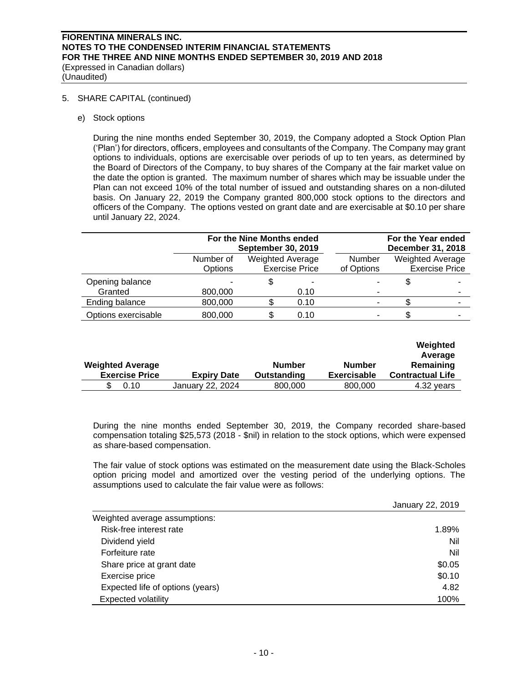# **FIORENTINA MINERALS INC. NOTES TO THE CONDENSED INTERIM FINANCIAL STATEMENTS FOR THE THREE AND NINE MONTHS ENDED SEPTEMBER 30, 2019 AND 2018** (Expressed in Canadian dollars)

(Unaudited)

# 5. SHARE CAPITAL (continued)

e) Stock options

During the nine months ended September 30, 2019, the Company adopted a Stock Option Plan ('Plan') for directors, officers, employees and consultants of the Company. The Company may grant options to individuals, options are exercisable over periods of up to ten years, as determined by the Board of Directors of the Company, to buy shares of the Company at the fair market value on the date the option is granted. The maximum number of shares which may be issuable under the Plan can not exceed 10% of the total number of issued and outstanding shares on a non-diluted basis. On January 22, 2019 the Company granted 800,000 stock options to the directors and officers of the Company. The options vested on grant date and are exercisable at \$0.10 per share until January 22, 2024.

|                            | For the Nine Months ended<br><b>September 30, 2019</b> |                  | For the Year ended<br>December 31, 2018 |                             |                                                  |
|----------------------------|--------------------------------------------------------|------------------|-----------------------------------------|-----------------------------|--------------------------------------------------|
|                            | Number of<br>Options                                   | Weighted Average | <b>Exercise Price</b>                   | <b>Number</b><br>of Options | <b>Weighted Average</b><br><b>Exercise Price</b> |
| Opening balance<br>Granted | 800,000                                                |                  | -<br>0.10                               |                             |                                                  |
| Ending balance             | 800,000                                                |                  | 0.10                                    |                             | ٠                                                |
| Options exercisable        | 800,000                                                | S                | 0.10                                    |                             |                                                  |

| <b>Weighted Average</b><br><b>Exercise Price</b> | <b>Expiry Date</b> | <b>Number</b><br>Outstanding | Number<br><b>Exercisable</b> | Weighted<br>Average<br>Remaining<br><b>Contractual Life</b> |
|--------------------------------------------------|--------------------|------------------------------|------------------------------|-------------------------------------------------------------|
| 0.10                                             | January 22, 2024   | 800,000                      | 800,000                      | 4.32 years                                                  |

During the nine months ended September 30, 2019, the Company recorded share-based compensation totaling \$25,573 (2018 - \$nil) in relation to the stock options, which were expensed as share-based compensation.

The fair value of stock options was estimated on the measurement date using the Black-Scholes option pricing model and amortized over the vesting period of the underlying options. The assumptions used to calculate the fair value were as follows:

|                                  | January 22, 2019 |
|----------------------------------|------------------|
| Weighted average assumptions:    |                  |
| Risk-free interest rate          | 1.89%            |
| Dividend yield                   | Nil              |
| Forfeiture rate                  | Nil              |
| Share price at grant date        | \$0.05           |
| Exercise price                   | \$0.10           |
| Expected life of options (years) | 4.82             |
| <b>Expected volatility</b>       | 100%             |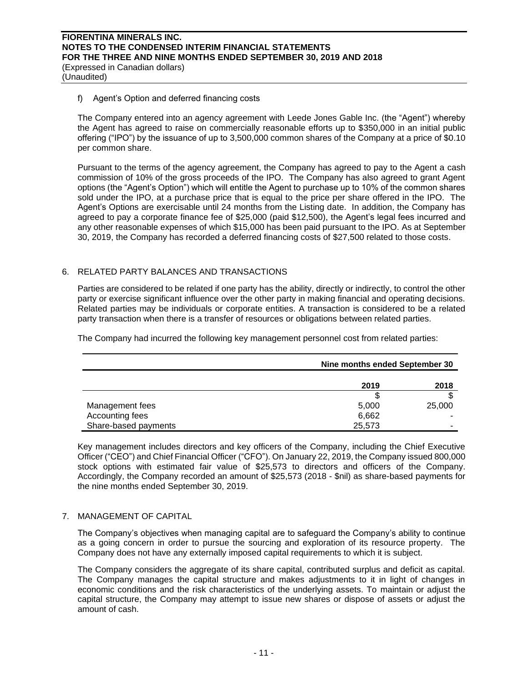#### f) Agent's Option and deferred financing costs

The Company entered into an agency agreement with Leede Jones Gable Inc. (the "Agent") whereby the Agent has agreed to raise on commercially reasonable efforts up to \$350,000 in an initial public offering ("IPO") by the issuance of up to 3,500,000 common shares of the Company at a price of \$0.10 per common share.

Pursuant to the terms of the agency agreement, the Company has agreed to pay to the Agent a cash commission of 10% of the gross proceeds of the IPO. The Company has also agreed to grant Agent options (the "Agent's Option") which will entitle the Agent to purchase up to 10% of the common shares sold under the IPO, at a purchase price that is equal to the price per share offered in the IPO. The Agent's Options are exercisable until 24 months from the Listing date. In addition, the Company has agreed to pay a corporate finance fee of \$25,000 (paid \$12,500), the Agent's legal fees incurred and any other reasonable expenses of which \$15,000 has been paid pursuant to the IPO. As at September 30, 2019, the Company has recorded a deferred financing costs of \$27,500 related to those costs.

# 6. RELATED PARTY BALANCES AND TRANSACTIONS

Parties are considered to be related if one party has the ability, directly or indirectly, to control the other party or exercise significant influence over the other party in making financial and operating decisions. Related parties may be individuals or corporate entities. A transaction is considered to be a related party transaction when there is a transfer of resources or obligations between related parties.

The Company had incurred the following key management personnel cost from related parties:

|                      | Nine months ended September 30 |        |  |
|----------------------|--------------------------------|--------|--|
|                      | 2019                           | 2018   |  |
|                      | S                              | \$     |  |
| Management fees      | 5,000                          | 25,000 |  |
| Accounting fees      | 6,662                          |        |  |
| Share-based payments | 25,573                         |        |  |

Key management includes directors and key officers of the Company, including the Chief Executive Officer ("CEO") and Chief Financial Officer ("CFO"). On January 22, 2019, the Company issued 800,000 stock options with estimated fair value of \$25,573 to directors and officers of the Company. Accordingly, the Company recorded an amount of \$25,573 (2018 - \$nil) as share-based payments for the nine months ended September 30, 2019.

# 7. MANAGEMENT OF CAPITAL

The Company's objectives when managing capital are to safeguard the Company's ability to continue as a going concern in order to pursue the sourcing and exploration of its resource property. The Company does not have any externally imposed capital requirements to which it is subject.

The Company considers the aggregate of its share capital, contributed surplus and deficit as capital. The Company manages the capital structure and makes adjustments to it in light of changes in economic conditions and the risk characteristics of the underlying assets. To maintain or adjust the capital structure, the Company may attempt to issue new shares or dispose of assets or adjust the amount of cash.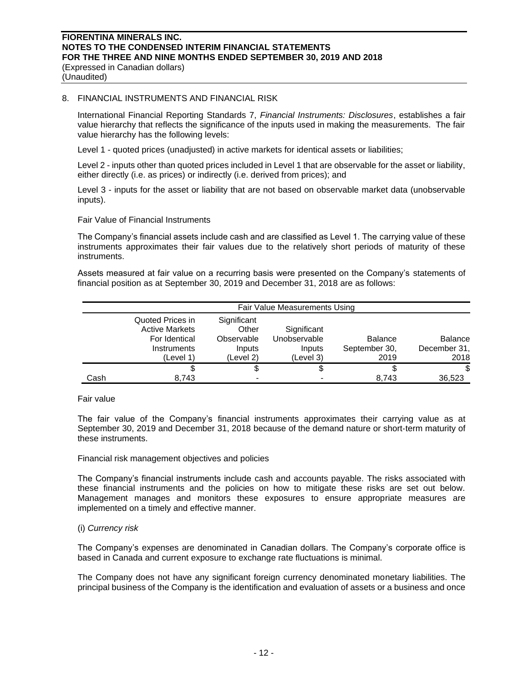(Unaudited)

### 8. FINANCIAL INSTRUMENTS AND FINANCIAL RISK

International Financial Reporting Standards 7, *Financial Instruments: Disclosures*, establishes a fair value hierarchy that reflects the significance of the inputs used in making the measurements. The fair value hierarchy has the following levels:

Level 1 - quoted prices (unadjusted) in active markets for identical assets or liabilities;

Level 2 - inputs other than quoted prices included in Level 1 that are observable for the asset or liability, either directly (i.e. as prices) or indirectly (i.e. derived from prices); and

Level 3 - inputs for the asset or liability that are not based on observable market data (unobservable inputs).

Fair Value of Financial Instruments

The Company's financial assets include cash and are classified as Level 1. The carrying value of these instruments approximates their fair values due to the relatively short periods of maturity of these instruments.

Assets measured at fair value on a recurring basis were presented on the Company's statements of financial position as at September 30, 2019 and December 31, 2018 are as follows:

|      | Fair Value Measurements Using                                                          |                                                           |                                                    |                                         |                                 |  |  |
|------|----------------------------------------------------------------------------------------|-----------------------------------------------------------|----------------------------------------------------|-----------------------------------------|---------------------------------|--|--|
|      | Quoted Prices in<br><b>Active Markets</b><br>For Identical<br>Instruments<br>(Level 1) | Significant<br>Other<br>Observable<br>Inputs<br>(Level 2) | Significant<br>Unobservable<br>Inputs<br>(Level 3) | <b>Balance</b><br>September 30,<br>2019 | Balance<br>December 31,<br>2018 |  |  |
|      |                                                                                        | \$                                                        | \$                                                 |                                         | \$                              |  |  |
| Cash | 8.743                                                                                  |                                                           |                                                    | 8.743                                   | 36,523                          |  |  |

### Fair value

The fair value of the Company's financial instruments approximates their carrying value as at September 30, 2019 and December 31, 2018 because of the demand nature or short-term maturity of these instruments.

#### Financial risk management objectives and policies

The Company's financial instruments include cash and accounts payable. The risks associated with these financial instruments and the policies on how to mitigate these risks are set out below. Management manages and monitors these exposures to ensure appropriate measures are implemented on a timely and effective manner.

# (i) *Currency risk*

The Company's expenses are denominated in Canadian dollars. The Company's corporate office is based in Canada and current exposure to exchange rate fluctuations is minimal.

The Company does not have any significant foreign currency denominated monetary liabilities. The principal business of the Company is the identification and evaluation of assets or a business and once